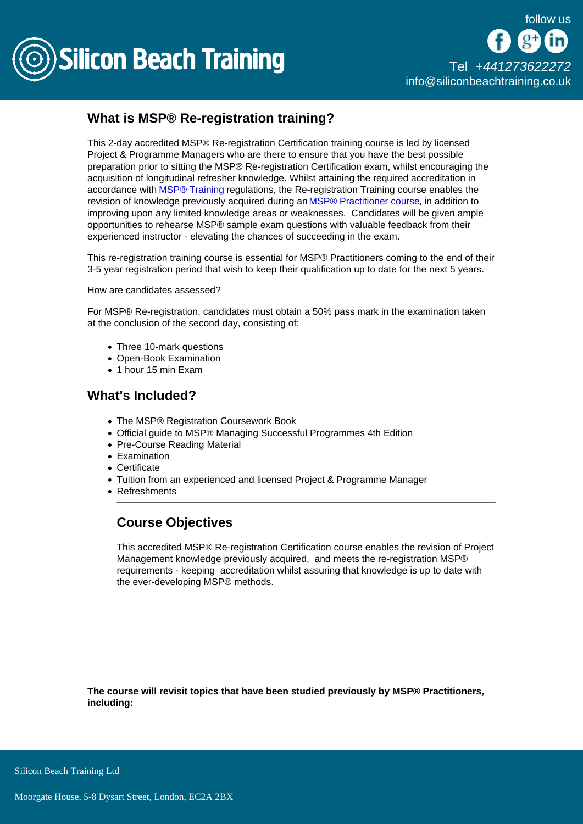

## What is MSP® Re-registration training?

This 2-day accredited MSP® Re-registration Certification training course is led by licensed Project & Programme Managers who are there to ensure that you have the best possible preparation prior to sitting the MSP® Re-registration Certification exam, whilst encouraging the acquisition of longitudinal refresher knowledge. Whilst attaining the required accreditation in accordance with [MSP® Training](/msp-training) regulations, the Re-registration Training course enables the revision of knowledge previously acquired during an [MSP® Practitioner course](/msp-training/msp-practitioner-conversion-training), in addition to improving upon any limited knowledge areas or weaknesses. Candidates will be given ample opportunities to rehearse MSP® sample exam questions with valuable feedback from their experienced instructor - elevating the chances of succeeding in the exam.

This re-registration training course is essential for MSP® Practitioners coming to the end of their 3-5 year registration period that wish to keep their qualification up to date for the next 5 years.

How are candidates assessed?

For MSP® Re-registration, candidates must obtain a 50% pass mark in the examination taken at the conclusion of the second day, consisting of:

- Three 10-mark questions
- Open-Book Examination
- 1 hour 15 min Exam

## What's Included?

- The MSP® Registration Coursework Book
- Official guide to MSP® Managing Successful Programmes 4th Edition
- Pre-Course Reading Material
- Examination
- Certificate
- Tuition from an experienced and licensed Project & Programme Manager
- Refreshments

## Course Objectives

This accredited MSP® Re-registration Certification course enables the revision of Project Management knowledge previously acquired, and meets the re-registration MSP® requirements - keeping accreditation whilst assuring that knowledge is up to date with the ever-developing MSP® methods.

The course will revisit topics that have been studied previously by MSP® Practitioners, including:

Silicon Beach Training Ltd